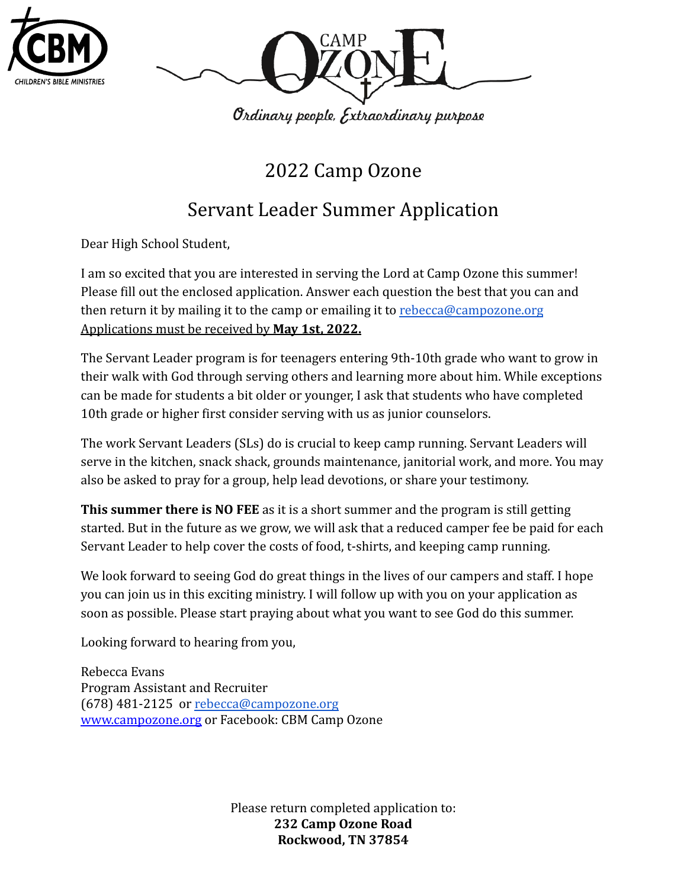



2022 Camp Ozone

# Servant Leader Summer Application

Dear High School Student,

I am so excited that you are interested in serving the Lord at Camp Ozone this summer! Please fill out the enclosed application. Answer each question the best that you can and then return it by mailing it to the camp or emailing it to [rebecca@campozone.org](mailto:rebecca@campozone.org) Applications must be received by **May 1st, 2022.**

The Servant Leader program is for teenagers entering 9th-10th grade who want to grow in their walk with God through serving others and learning more about him. While exceptions can be made for students a bit older or younger, I ask that students who have completed 10th grade or higher first consider serving with us as junior counselors.

The work Servant Leaders (SLs) do is crucial to keep camp running. Servant Leaders will serve in the kitchen, snack shack, grounds maintenance, janitorial work, and more. You may also be asked to pray for a group, help lead devotions, or share your testimony.

**This summer there is NO FEE** as it is a short summer and the program is still getting started. But in the future as we grow, we will ask that a reduced camper fee be paid for each Servant Leader to help cover the costs of food, t-shirts, and keeping camp running.

We look forward to seeing God do great things in the lives of our campers and staff. I hope you can join us in this exciting ministry. I will follow up with you on your application as soon as possible. Please start praying about what you want to see God do this summer.

Looking forward to hearing from you,

Rebecca Evans Program Assistant and Recruiter (678) 481-2125 or [rebecca@campozone.org](mailto:rebecca@campozone.org) [www.campozone.org](http://www.campozone.org) or Facebook: CBM Camp Ozone

> Please return completed application to: **232 Camp Ozone Road Rockwood, TN 37854**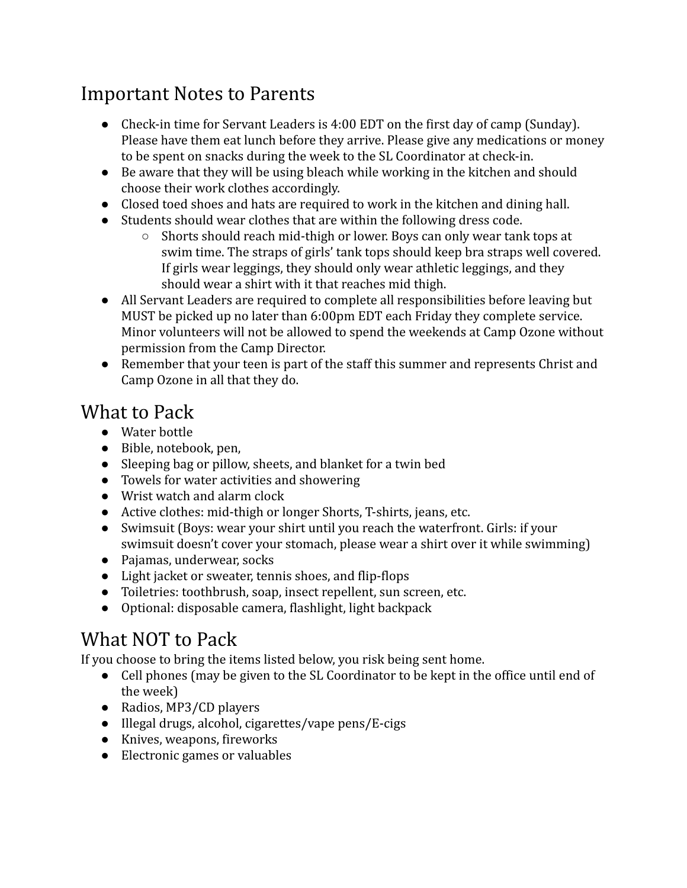## Important Notes to Parents

- Check-in time for Servant Leaders is 4:00 EDT on the first day of camp (Sunday). Please have them eat lunch before they arrive. Please give any medications or money to be spent on snacks during the week to the SL Coordinator at check-in.
- Be aware that they will be using bleach while working in the kitchen and should choose their work clothes accordingly.
- Closed toed shoes and hats are required to work in the kitchen and dining hall.
- Students should wear clothes that are within the following dress code.
	- Shorts should reach mid-thigh or lower. Boys can only wear tank tops at swim time. The straps of girls' tank tops should keep bra straps well covered. If girls wear leggings, they should only wear athletic leggings, and they should wear a shirt with it that reaches mid thigh.
- All Servant Leaders are required to complete all responsibilities before leaving but MUST be picked up no later than 6:00pm EDT each Friday they complete service. Minor volunteers will not be allowed to spend the weekends at Camp Ozone without permission from the Camp Director.
- Remember that your teen is part of the staff this summer and represents Christ and Camp Ozone in all that they do.

## What to Pack

- Water bottle
- Bible, notebook, pen,
- Sleeping bag or pillow, sheets, and blanket for a twin bed
- Towels for water activities and showering
- Wrist watch and alarm clock
- Active clothes: mid-thigh or longer Shorts, T-shirts, jeans, etc.
- Swimsuit (Boys: wear your shirt until you reach the waterfront. Girls: if your swimsuit doesn't cover your stomach, please wear a shirt over it while swimming)
- Pajamas, underwear, socks
- Light jacket or sweater, tennis shoes, and flip-flops
- Toiletries: toothbrush, soap, insect repellent, sun screen, etc.
- Optional: disposable camera, flashlight, light backpack

# What NOT to Pack

If you choose to bring the items listed below, you risk being sent home.

- Cell phones (may be given to the SL Coordinator to be kept in the office until end of the week)
- Radios, MP3/CD players
- Illegal drugs, alcohol, cigarettes/vape pens/E-cigs
- Knives, weapons, fireworks
- Electronic games or valuables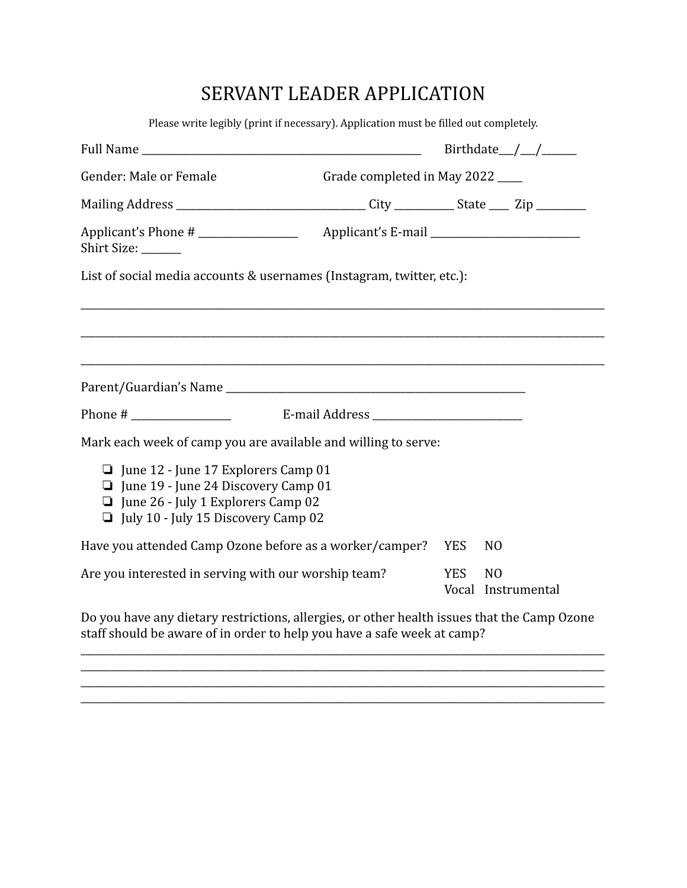#### SERVANT LEADER APPLICATION

Please write legibly (print if necessary). Application must be filled out completely.

| Gender: Male or Female                                                                                                                                                       | Grade completed in May 2022 |            |                |                    |
|------------------------------------------------------------------------------------------------------------------------------------------------------------------------------|-----------------------------|------------|----------------|--------------------|
|                                                                                                                                                                              |                             |            |                |                    |
| Applicant's Phone #<br>Shirt Size: ______                                                                                                                                    |                             |            |                |                    |
| List of social media accounts & usernames (Instagram, twitter, etc.):                                                                                                        |                             |            |                |                    |
|                                                                                                                                                                              |                             |            |                |                    |
|                                                                                                                                                                              |                             |            |                |                    |
|                                                                                                                                                                              |                             |            |                |                    |
|                                                                                                                                                                              |                             |            |                |                    |
|                                                                                                                                                                              |                             |            |                |                    |
| Mark each week of camp you are available and willing to serve:                                                                                                               |                             |            |                |                    |
| $\Box$ June 12 - June 17 Explorers Camp 01<br>$\Box$ June 19 - June 24 Discovery Camp 01<br>$\Box$ June 26 - July 1 Explorers Camp 02<br>July 10 - July 15 Discovery Camp 02 |                             |            |                |                    |
| Have you attended Camp Ozone before as a worker/camper?                                                                                                                      |                             | <b>YES</b> | N <sub>0</sub> |                    |
| Are you interested in serving with our worship team?                                                                                                                         |                             | <b>YES</b> | N <sub>O</sub> | Vocal Instrumental |

Do you have any dietary restrictions, allergies, or other health issues that the Camp Ozone staff should be aware of in order to help you have a safe week at camp?

\_\_\_\_\_\_\_\_\_\_\_\_\_\_\_\_\_\_\_\_\_\_\_\_\_\_\_\_\_\_\_\_\_\_\_\_\_\_\_\_\_\_\_\_\_\_\_\_\_\_\_\_\_\_\_\_\_\_\_\_\_\_\_\_\_\_\_\_\_\_\_\_\_\_\_\_\_\_\_\_\_\_\_\_\_\_\_\_\_\_\_\_\_\_\_\_\_\_\_\_\_\_\_\_\_ \_\_\_\_\_\_\_\_\_\_\_\_\_\_\_\_\_\_\_\_\_\_\_\_\_\_\_\_\_\_\_\_\_\_\_\_\_\_\_\_\_\_\_\_\_\_\_\_\_\_\_\_\_\_\_\_\_\_\_\_\_\_\_\_\_\_\_\_\_\_\_\_\_\_\_\_\_\_\_\_\_\_\_\_\_\_\_\_\_\_\_\_\_\_\_\_\_\_\_\_\_\_\_\_\_

\_\_\_\_\_\_\_\_\_\_\_\_\_\_\_\_\_\_\_\_\_\_\_\_\_\_\_\_\_\_\_\_\_\_\_\_\_\_\_\_\_\_\_\_\_\_\_\_\_\_\_\_\_\_\_\_\_\_\_\_\_\_\_\_\_\_\_\_\_\_\_\_\_\_\_\_\_\_\_\_\_\_\_\_\_\_\_\_\_\_\_\_\_\_\_\_\_\_\_\_\_\_\_\_\_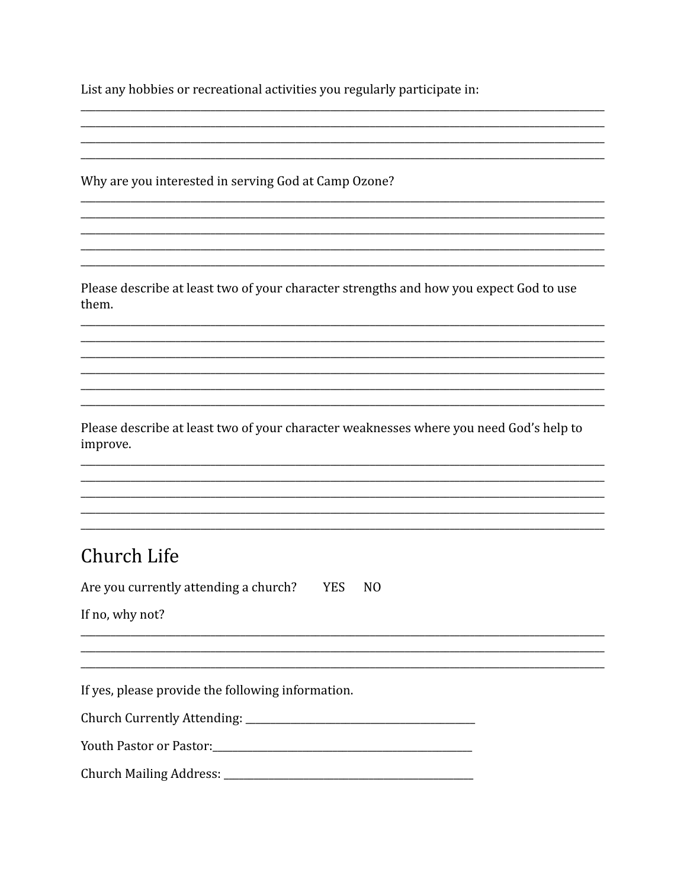List any hobbies or recreational activities you regularly participate in:

Why are you interested in serving God at Camp Ozone?

Please describe at least two of your character strengths and how you expect God to use them.

Please describe at least two of your character weaknesses where you need God's help to improve.

#### Church Life

Are you currently attending a church? YES NO

If no, why not?

If yes, please provide the following information.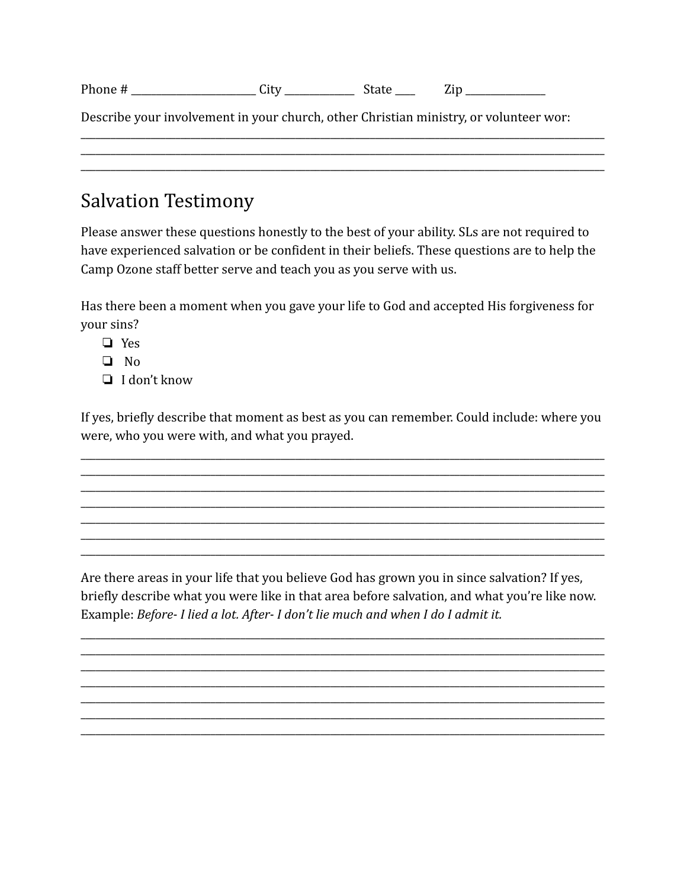| Dŀ<br>.<br>. | ີ |  | -- |  |
|--------------|---|--|----|--|
|--------------|---|--|----|--|

Describe your involvement in your church, other Christian ministry, or volunteer wor:

#### **Salvation Testimony**

Please answer these questions honestly to the best of your ability. SLs are not required to have experienced salvation or be confident in their beliefs. These questions are to help the Camp Ozone staff better serve and teach you as you serve with us.

Has there been a moment when you gave your life to God and accepted His forgiveness for vour sins?

- $\Box$  Yes
- $\Box$  No
- $\Box$  I don't know

If yes, briefly describe that moment as best as you can remember. Could include: where you were, who you were with, and what you prayed.

Are there areas in your life that you believe God has grown you in since salvation? If yes, briefly describe what you were like in that area before salvation, and what you're like now. Example: Before- I lied a lot. After- I don't lie much and when I do I admit it.